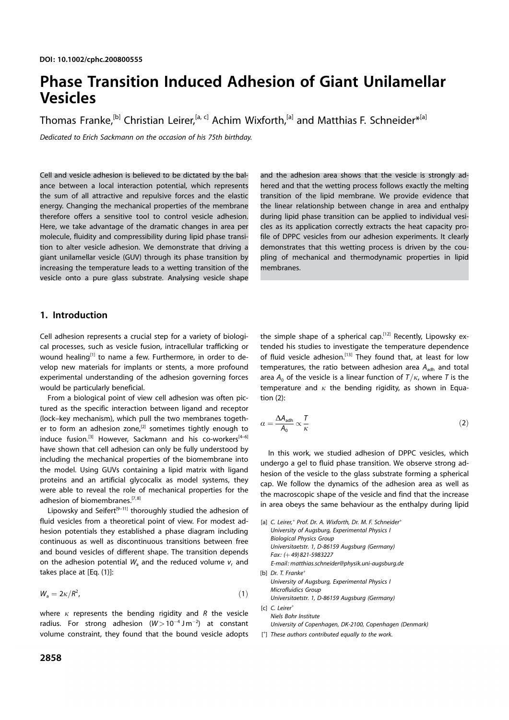# Phase Transition Induced Adhesion of Giant Unilamellar Vesicles

Thomas Franke,<sup>[b]</sup> Christian Leirer,<sup>[a, c]</sup> Achim Wixforth,<sup>[a]</sup> and Matthias F. Schneider\*<sup>[a]</sup>

Dedicated to Erich Sackmann on the occasion of his 75th birthday.

Cell and vesicle adhesion is believed to be dictated by the balance between a local interaction potential, which represents the sum of all attractive and repulsive forces and the elastic energy. Changing the mechanical properties of the membrane therefore offers a sensitive tool to control vesicle adhesion. Here, we take advantage of the dramatic changes in area per molecule, fluidity and compressibility during lipid phase transition to alter vesicle adhesion. We demonstrate that driving a giant unilamellar vesicle (GUV) through its phase transition by increasing the temperature leads to a wetting transition of the vesicle onto a pure glass substrate. Analysing vesicle shape and the adhesion area shows that the vesicle is strongly adhered and that the wetting process follows exactly the melting transition of the lipid membrane. We provide evidence that the linear relationship between change in area and enthalpy during lipid phase transition can be applied to individual vesicles as its application correctly extracts the heat capacity profile of DPPC vesicles from our adhesion experiments. It clearly demonstrates that this wetting process is driven by the coupling of mechanical and thermodynamic properties in lipid membranes.

# 1. Introduction

Cell adhesion represents a crucial step for a variety of biological processes, such as vesicle fusion, intracellular trafficking or wound healing<sup>[1]</sup> to name a few. Furthermore, in order to develop new materials for implants or stents, a more profound experimental understanding of the adhesion governing forces would be particularly beneficial.

From a biological point of view cell adhesion was often pictured as the specific interaction between ligand and receptor (lock–key mechanism), which pull the two membranes together to form an adhesion zone,<sup>[2]</sup> sometimes tightly enough to induce fusion.<sup>[3]</sup> However, Sackmann and his co-workers<sup>[4-6]</sup> have shown that cell adhesion can only be fully understood by including the mechanical properties of the biomembrane into the model. Using GUVs containing a lipid matrix with ligand proteins and an artificial glycocalix as model systems, they were able to reveal the role of mechanical properties for the adhesion of biomembranes.<sup>[7,8]</sup>

Lipowsky and Seifert<sup>[9-11]</sup> thoroughly studied the adhesion of fluid vesicles from a theoretical point of view. For modest adhesion potentials they established a phase diagram including continuous as well as discontinuous transitions between free and bound vesicles of different shape. The transition depends on the adhesion potential  $W_a$  and the reduced volume  $v_r$  and takes place at [Eq. (1)]:

$$
W_a = 2\kappa/R^2, \tag{1}
$$

where  $\kappa$  represents the bending rigidity and R the vesicle radius. For strong adhesion  $(W>10^{-4}$  Jm<sup>-2</sup>) at constant volume constraint, they found that the bound vesicle adopts

the simple shape of a spherical cap.<sup>[12]</sup> Recently, Lipowsky extended his studies to investigate the temperature dependence of fluid vesicle adhesion.<sup>[13]</sup> They found that, at least for low temperatures, the ratio between adhesion area  $A_{\text{adh}}$  and total area  $A_0$  of the vesicle is a linear function of  $T/\kappa$ , where T is the temperature and  $\kappa$  the bending rigidity, as shown in Equation (2):

$$
\alpha = \frac{\Delta A_{\text{adh}}}{A_0} \propto \frac{T}{\kappa} \tag{2}
$$

In this work, we studied adhesion of DPPC vesicles, which undergo a gel to fluid phase transition. We observe strong adhesion of the vesicle to the glass substrate forming a spherical cap. We follow the dynamics of the adhesion area as well as the macroscopic shape of the vesicle and find that the increase in area obeys the same behaviour as the enthalpy during lipid

- [a] C. Leirer,<sup>+</sup> Prof. Dr. A. Wixforth, Dr. M. F. Schneider<sup>+</sup> University of Augsburg, Experimental Physics I Biological Physics Group Universitaetstr. 1, D-86159 Augsburg (Germany) Fax: (+49) 821-5983227 E-mail: matthias.schneider@physik.uni-augsburg.de [b] Dr. T. Franke<sup>+</sup> University of Augsburg, Experimental Physics I Microfluidics Group Universitaetstr. 1, D-86159 Augsburg (Germany) [c] C. Leirer<sup>+</sup> Niels Bohr Institute University of Copenhagen, DK-2100, Copenhagen (Denmark)
- [<sup>+</sup>] These authors contributed equally to the work.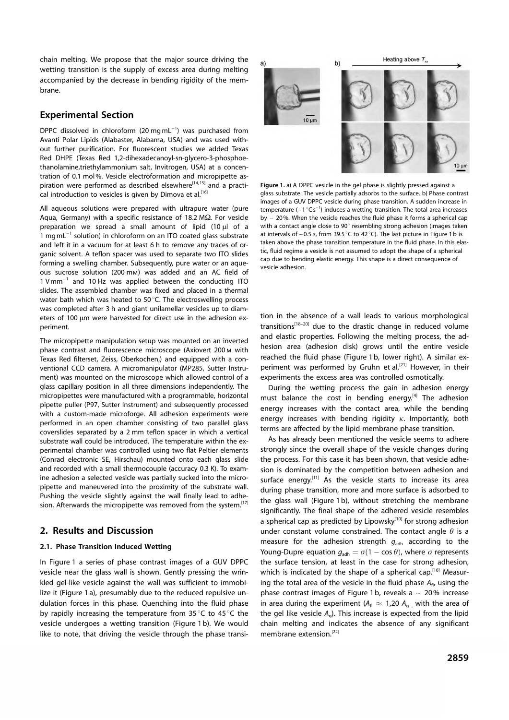chain melting. We propose that the major source driving the wetting transition is the supply of excess area during melting accompanied by the decrease in bending rigidity of the membrane.

### Experimental Section

DPPC dissolved in chloroform (20 mgmL<sup>-1</sup>) was purchased from Avanti Polar Lipids (Alabaster, Alabama, USA) and was used without further purification. For fluorescent studies we added Texas Red DHPE (Texas Red 1,2-dihexadecanoyl-sn-glycero-3-phosphoethanolamine,triethylammonium salt, Invitrogen, USA) at a concentration of 0.1 mol%. Vesicle electroformation and micropipette aspiration were performed as described elsewhere<sup>[14, 15]</sup> and a practical introduction to vesicles is given by Dimova et al.<sup>[16]</sup>

All aqueous solutions were prepared with ultrapure water (pure Aqua, Germany) with a specific resistance of 18.2 M $\Omega$ . For vesicle preparation we spread a small amount of lipid  $(10 \mu l)$  of a 1 mg mL<sup>-1</sup> solution) in chloroform on an ITO coated glass substrate and left it in a vacuum for at least 6 h to remove any traces of organic solvent. A teflon spacer was used to separate two ITO slides forming a swelling chamber. Subsequently, pure water or an aqueous sucrose solution (200 mm) was added and an AC field of 1 Vmm<sup>-1</sup> and 10 Hz was applied between the conducting ITO slides. The assembled chamber was fixed and placed in a thermal water bath which was heated to  $50^{\circ}$ C. The electroswelling process was completed after 3 h and giant unilamellar vesicles up to diameters of 100 µm were harvested for direct use in the adhesion experiment.

The micropipette manipulation setup was mounted on an inverted phase contrast and fluorescence microscope (Axiovert 200m with Texas Red filterset, Zeiss, Oberkochen,) and equipped with a conventional CCD camera. A micromanipulator (MP285, Sutter Instrument) was mounted on the microscope which allowed control of a glass capillary position in all three dimensions independently. The micropipettes were manufactured with a programmable, horizontal pipette puller (P97, Sutter Instrument) and subsequently processed with a custom-made microforge. All adhesion experiments were performed in an open chamber consisting of two parallel glass coverslides separated by a 2 mm teflon spacer in which a vertical substrate wall could be introduced. The temperature within the experimental chamber was controlled using two flat Peltier elements (Conrad electronic SE, Hirschau) mounted onto each glass slide and recorded with a small thermocouple (accuracy 0.3 K). To examine adhesion a selected vesicle was partially sucked into the micropipette and maneuvered into the proximity of the substrate wall. Pushing the vesicle slightly against the wall finally lead to adhesion. Afterwards the micropipette was removed from the system.<sup>[17]</sup>

# 2. Results and Discussion

#### 2.1. Phase Transition Induced Wetting

In Figure 1 a series of phase contrast images of a GUV DPPC vesicle near the glass wall is shown. Gently pressing the wrinkled gel-like vesicle against the wall was sufficient to immobilize it (Figure 1 a), presumably due to the reduced repulsive undulation forces in this phase. Quenching into the fluid phase by rapidly increasing the temperature from  $35^{\circ}$ C to  $45^{\circ}$ C the vesicle undergoes a wetting transition (Figure 1b). We would like to note, that driving the vesicle through the phase transi-



Figure 1. a) A DPPC vesicle in the gel phase is slightly pressed against a glass substrate. The vesicle partially adsorbs to the surface. b) Phase contrast images of a GUV DPPC vesicle during phase transition. A sudden increase in temperature  $(-1 \, ^{\circ}\text{Cs}^{-1})$  induces a wetting transition. The total area increases by  $\sim$  20%. When the vesicle reaches the fluid phase it forms a spherical cap with a contact angle close to  $90^\circ$  resembling strong adhesion (images taken at intervals of  $\sim$  0.5 s, from 39.5 °C to 42 °C). The last picture in Figure 1b is taken above the phase transition temperature in the fluid phase. In this elastic, fluid regime a vesicle is not assumed to adopt the shape of a spherical cap due to bending elastic energy. This shape is a direct consequence of vesicle adhesion.

tion in the absence of a wall leads to various morphological transitions<sup>[18-20]</sup> due to the drastic change in reduced volume and elastic properties. Following the melting process, the adhesion area (adhesion disk) grows until the entire vesicle reached the fluid phase (Figure 1b, lower right). A similar experiment was performed by Gruhn et al.<sup>[21]</sup> However, in their experiments the excess area was controlled osmotically.

During the wetting process the gain in adhesion energy must balance the cost in bending energy.<sup>[4]</sup> The adhesion energy increases with the contact area, while the bending energy increases with bending rigidity  $\kappa$ . Importantly, both terms are affected by the lipid membrane phase transition.

As has already been mentioned the vesicle seems to adhere strongly since the overall shape of the vesicle changes during the process. For this case it has been shown, that vesicle adhesion is dominated by the competition between adhesion and surface energy.<sup>[11]</sup> As the vesicle starts to increase its area during phase transition, more and more surface is adsorbed to the glass wall (Figure 1b), without stretching the membrane significantly. The final shape of the adhered vesicle resembles a spherical cap as predicted by Lipowsky<sup>[10]</sup> for strong adhesion under constant volume constrained. The contact angle  $\theta$  is a measure for the adhesion strength  $g<sub>adh</sub>$  according to the Young-Dupre equation  $g_{\text{adh}} = \sigma(1 - \cos \theta)$ , where  $\sigma$  represents the surface tension, at least in the case for strong adhesion, which is indicated by the shape of a spherical cap.<sup>[10]</sup> Measuring the total area of the vesicle in the fluid phase  $A_{\text{fl}}$ , using the phase contrast images of Figure 1 b, reveals a  $\sim$  20% increase in area during the experiment ( $A<sub>f</sub> \approx 1,20$   $A<sub>g</sub>$ , with the area of the gel like vesicle  $A<sub>g</sub>$ ). This increase is expected from the lipid chain melting and indicates the absence of any significant membrane extension. [22]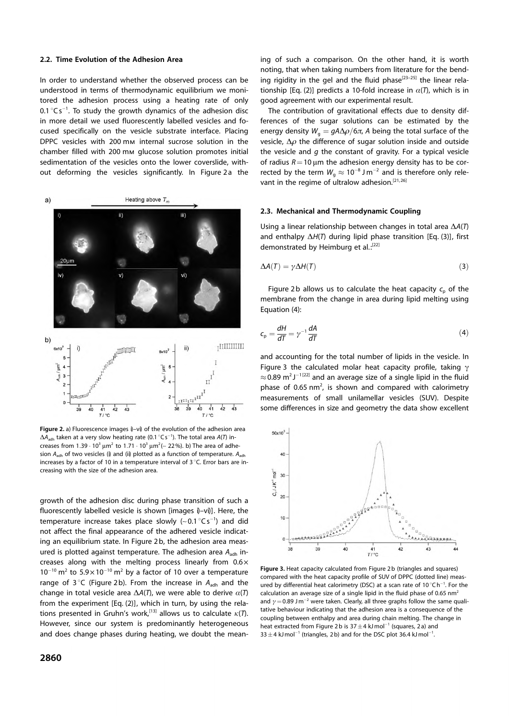#### 2.2. Time Evolution of the Adhesion Area

In order to understand whether the observed process can be understood in terms of thermodynamic equilibrium we monitored the adhesion process using a heating rate of only  $0.1\,^{\circ}$ Cs<sup>-1</sup>. To study the growth dynamics of the adhesion disc in more detail we used fluorescently labelled vesicles and focused specifically on the vesicle substrate interface. Placing DPPC vesicles with 200 mm internal sucrose solution in the chamber filled with 200 mm glucose solution promotes initial sedimentation of the vesicles onto the lower coverslide, without deforming the vesicles significantly. In Figure 2a the



Figure 2. a) Fluorescence images i)-vi) of the evolution of the adhesion area  $\Delta A_{\text{adh}}$  taken at a very slow heating rate (0.1  $^{\circ}$ Cs<sup>-1</sup>). The total area A(T) increases from 1.39  $\cdot$  10<sup>3</sup>  $\mu$ m<sup>2</sup> to 1.71  $\cdot$  10<sup>3</sup>  $\mu$ m<sup>2</sup>( $\sim$  22%). b) The area of adhesion  $A_{adh}$  of two vesicles (i) and (ii) plotted as a function of temperature.  $A_{adh}$ increases by a factor of 10 in a temperature interval of  $3^{\circ}$ C. Error bars are increasing with the size of the adhesion area.

growth of the adhesion disc during phase transition of such a fluorescently labelled vesicle is shown [images i)–vi)]. Here, the temperature increase takes place slowly  $(-0.1^{\circ}Cs^{-1})$  and did not affect the final appearance of the adhered vesicle indicating an equilibrium state. In Figure 2b, the adhesion area measured is plotted against temperature. The adhesion area  $A_{\text{adh}}$  increases along with the melting process linearly from  $0.6 \times$  $10^{-10}$  m<sup>2</sup> to  $5.9 \times 10^{-10}$  m<sup>2</sup> by a factor of 10 over a temperature range of  $3^{\circ}$ C (Figure 2b). From the increase in  $A_{\text{adh}}$  and the change in total vesicle area  $\Delta A(T)$ , we were able to derive  $\alpha(T)$ from the experiment [Eq. (2)], which in turn, by using the relations presented in Gruhn's work,  $^{[13]}$  allows us to calculate  $\kappa$ (T). However, since our system is predominantly heterogeneous and does change phases during heating, we doubt the mean-

ing of such a comparison. On the other hand, it is worth noting, that when taking numbers from literature for the bending rigidity in the gel and the fluid phase<sup>[23-25]</sup> the linear relationship [Eq. (2)] predicts a 10-fold increase in  $\alpha(T)$ , which is in good agreement with our experimental result.

The contribution of gravitational effects due to density differences of the sugar solutions can be estimated by the energy density  $W_a = gA\Delta\rho/6\pi$ , A being the total surface of the vesicle,  $\Delta \rho$  the difference of sugar solution inside and outside the vesicle and  $q$  the constant of gravity. For a typical vesicle of radius  $R=10 \mu m$  the adhesion energy density has to be corrected by the term  $W_g \approx 10^{-8}$  J m<sup>-2</sup> and is therefore only relevant in the regime of ultralow adhesion.<sup>[21,26]</sup>

#### 2.3. Mechanical and Thermodynamic Coupling

Using a linear relationship between changes in total area  $\Delta A(T)$ and enthalpy  $\Delta H(T)$  during lipid phase transition [Eq. (3)], first demonstrated by Heimburg et al.:[22]

$$
\Delta A(T) = \gamma \Delta H(T) \tag{3}
$$

Figure 2b allows us to calculate the heat capacity  $c_p$  of the membrane from the change in area during lipid melting using Equation (4):

$$
c_{\rm p} = \frac{dH}{dT} = \gamma^{-1} \frac{dA}{dT} \tag{4}
$$

and accounting for the total number of lipids in the vesicle. In Figure 3 the calculated molar heat capacity profile, taking  $\gamma$  $\approx$  0.89 m<sup>2</sup> J<sup>-1[22]</sup> and an average size of a single lipid in the fluid phase of 0.65 nm<sup>2</sup>, is shown and compared with calorimetry measurements of small unilamellar vesicles (SUV). Despite some differences in size and geometry the data show excellent



Figure 3. Heat capacity calculated from Figure 2 b (triangles and squares) compared with the heat capacity profile of SUV of DPPC (dotted line) measured by differential heat calorimetry (DSC) at a scan rate of  $10^{\circ}Ch^{-1}$ . For the calculation an average size of a single lipid in the fluid phase of 0.65 nm<sup>2</sup> and  $\gamma$  = 0.89 Jm<sup>-2</sup> were taken. Clearly, all three graphs follow the same qualitative behaviour indicating that the adhesion area is a consequence of the coupling between enthalpy and area during chain melting. The change in heat extracted from Figure 2b is  $37 \pm 4$  kJ mol<sup>-1</sup> (squares, 2a) and  $33 \pm 4$  kJ mol<sup>-1</sup> (triangles, 2b) and for the DSC plot 36.4 kJ mol<sup>-1</sup>.